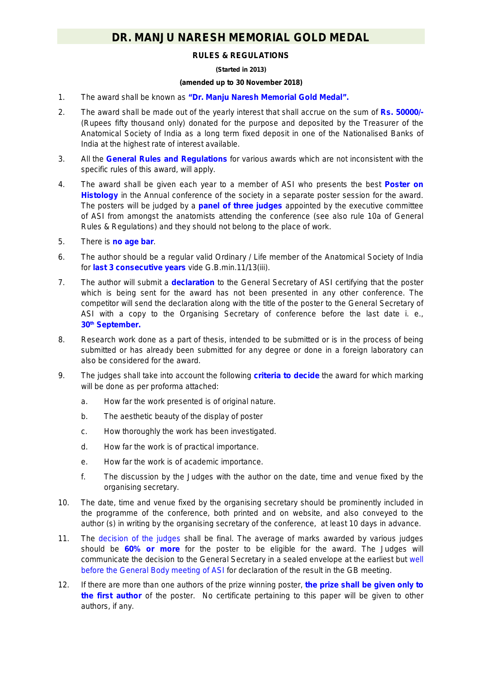## **DR. MANJU NARESH MEMORIAL GOLD MEDAL**

### **RULES & REGULATIONS**

#### **(Started in 2013)**

#### **(amended up to 30 November 2018)**

- 1. The award shall be known as **"Dr. Manju Naresh Memorial Gold Medal".**
- 2. The award shall be made out of the yearly interest that shall accrue on the sum of **Rs. 50000/-** (Rupees fifty thousand only) donated for the purpose and deposited by the Treasurer of the Anatomical Society of India as a long term fixed deposit in one of the Nationalised Banks of India at the highest rate of interest available.
- 3. All the **General Rules and Regulations** for various awards which are not inconsistent with the specific rules of this award, will apply.
- 4. The award shall be given each year to a member of ASI who presents the best **Poster on**  Histology in the Annual conference of the society in a separate poster session for the award. The posters will be judged by a **panel of three judges** appointed by the executive committee of ASI from amongst the anatomists attending the conference *(see also rule 10a of General Rules & Regulations)* and they should not belong to the place of work.
- 5. There is **no age bar**.
- 6. The author should be a regular valid Ordinary / Life member of the Anatomical Society of India for **last 3 consecutive years** vide G.B.min.11/13(iii).
- 7. The author will submit a **declaration** to the General Secretary of ASI certifying that the poster which is being sent for the award has not been presented in any other conference. The competitor will send the declaration along with the title of the poster to the General Secretary of ASI with a copy to the Organising Secretary of conference before the last date i. e., **30th September.**
- 8. Research work done as a part of thesis, intended to be submitted or is in the process of being submitted or has already been submitted for any degree or done in a foreign laboratory can also be considered for the award.
- 9. The judges shall take into account the following **criteria to decide** the award for which marking will be done as per proforma attached:
	- a. How far the work presented is of original nature.
	- b. The aesthetic beauty of the display of poster
	- c. How thoroughly the work has been investigated.
	- d. How far the work is of practical importance.
	- e. How far the work is of academic importance.
	- f. The discussion by the Judges with the author on the date, time and venue fixed by the organising secretary.
- 10. The date, time and venue fixed by the organising secretary should be prominently included in the programme of the conference, both printed and on website, and also conveyed to the author (s) in writing by the organising secretary of the conference, at least 10 days in advance.
- 11. The decision of the judges shall be final. The average of marks awarded by various judges should be **60% or more** for the poster to be eligible for the award. The Judges will communicate the decision to the General Secretary in a sealed envelope at the earliest but well before the General Body meeting of ASI for declaration of the result in the GB meeting.
- 12. If there are more than one authors of the prize winning poster, **the prize shall be given only to the first author** of the poster. No certificate pertaining to this paper will be given to other authors, if any.